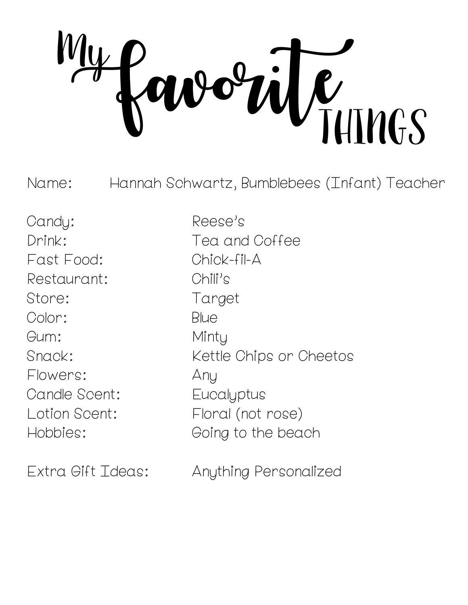WEIHINGS My

Name: Hannah Schwartz, Bumblebees (Infant) Teacher

Candy: Reese's Fast Food: Chick-fil-A Restaurant: Chili's Store: Target Color: Blue Gum: Minty Flowers: Any Candle Scent: Eucalyptus

Drink: Tea and Coffee Snack: Kettle Chips or Cheetos Lotion Scent: Floral (not rose) Hobbies: Going to the beach

Extra Gift Ideas: Anything Personalized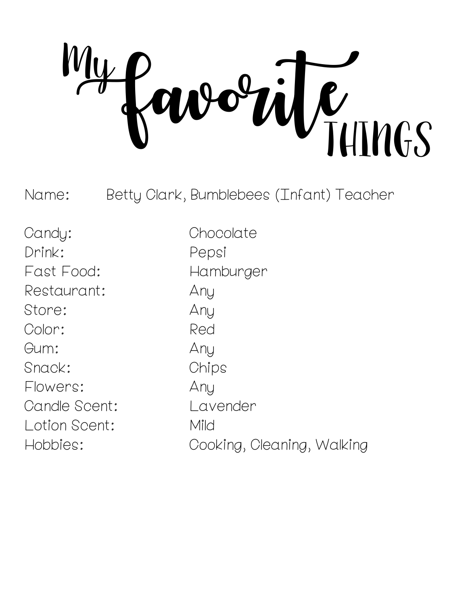$\dot{W}_{\text{HIMGS}}$ My

Name: Betty Clark, Bumblebees (Infant) Teacher

Candy: Chocolate Drink: Pepsi Fast Food: Hamburger Restaurant: Any Store: Any Color: Red Gum: Any Snack: Chips Flowers: Any Candle Scent: Lavender Lotion Scent: Mild

Hobbies: Cooking, Cleaning, Walking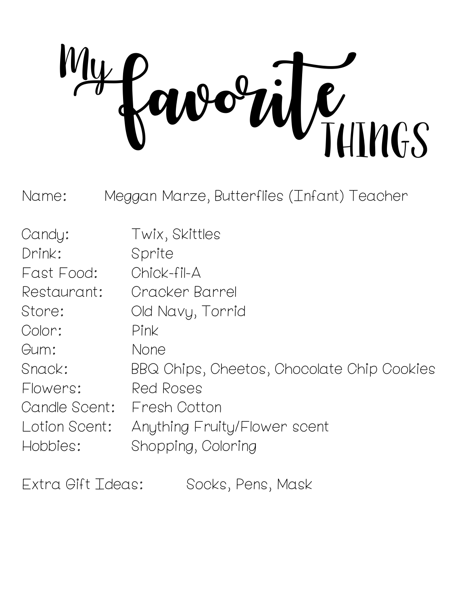orite **My** 

Name: Meggan Marze, Butterflies (Infant) Teacher

| Candy:        | Twix, Skittles                             |
|---------------|--------------------------------------------|
| Drink:        | Sprite                                     |
| Fast Food:    | Chick-fil-A                                |
| Restaurant:   | Cracker Barrel                             |
| Store:        | Old Navy, Torrid                           |
| Color:        | Pink                                       |
| Gum:          | None                                       |
| Snack:        | BBQ Chips, Cheetos, Chocolate Chip Cookies |
| Flowers:      | Red Roses                                  |
| Candle Scent: | Fresh Cotton                               |
| Lotion Scent: | Anything Fruity/Flower scent               |
| Hobbies:      | Shopping, Coloring                         |

Extra Gift Ideas: Socks, Pens, Mask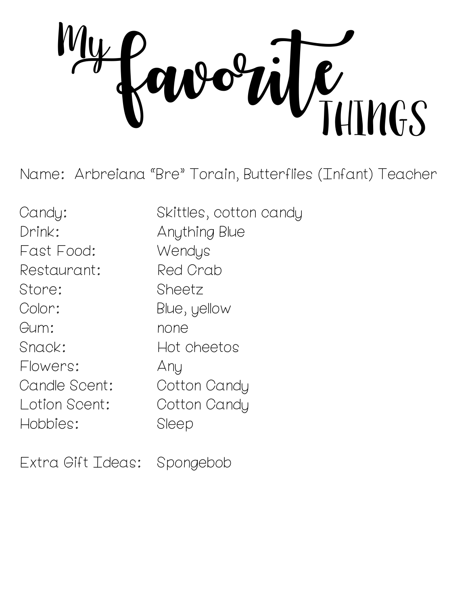FavoriteTHINGS My

Name: Arbreiana "Bre" Torain, Butterflies (Infant) Teacher

Candy: Skittles, cotton candy Drink: Anything Blue Fast Food: Wendys Restaurant: Red Crab Store: Sheetz Color: Blue, yellow Gum: none Snack: Hot cheetos Flowers: Any Candle Scent: Cotton Candy Lotion Scent: Cotton Candy Hobbies: Sleep

Extra Gift Ideas: Spongebob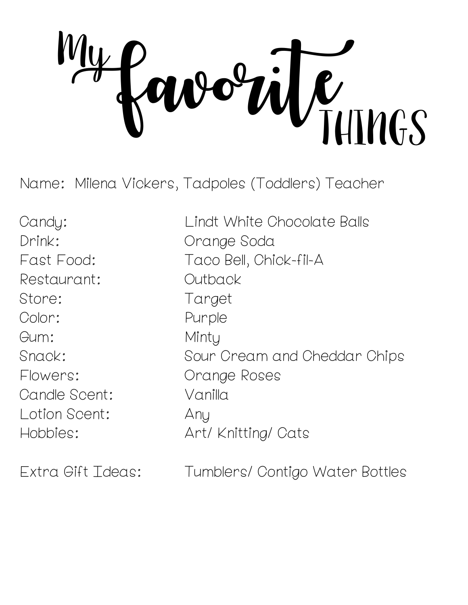FavoriteTHINGS **My** 

Name: Milena Vickers, Tadpoles (Toddlers) Teacher

Drink: Orange Soda Restaurant: Outback Store: Target Color: Purple Gum: Minty Flowers: Orange Roses Candle Scent: Vanilla Lotion Scent: Any

Candy: Lindt White Chocolate Balls Fast Food: Taco Bell, Chick-fil-A Snack: Sour Cream and Cheddar Chips Hobbies: Art/ Knitting/ Cats

Extra Gift Ideas: Tumblers/ Contigo Water Bottles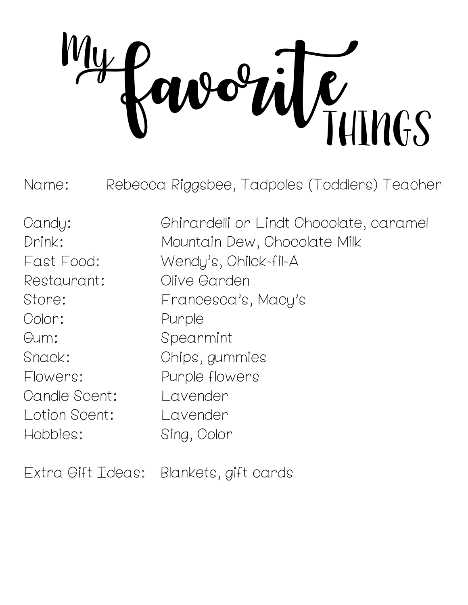LUTINGS My

Name: Rebecca Riggsbee, Tadpoles (Toddlers) Teacher

Restaurant: Olive Garden Color: Purple Gum: Spearmint Candle Scent: Lavender Lotion Scent: Lavender Hobbies: Sing, Color

Candy: Ghirardelli or Lindt Chocolate, caramel Drink: Mountain Dew, Chocolate Milk Fast Food: Wendy's, Chilck-fil-A Store: Francesca's, Macy's Snack: Chips, gummies Flowers: Purple flowers

Extra Gift Ideas: Blankets, gift cards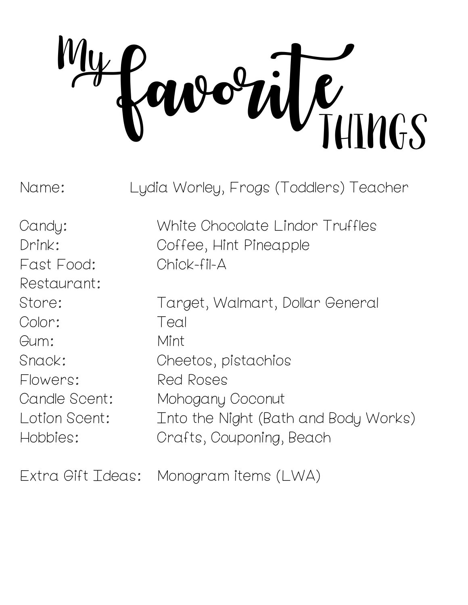$\dot{w}$ My

Name: Lydia Worley, Frogs (Toddlers) Teacher

Fast Food: Chick-fil-A Restaurant: Color: Teal Gum: Mint Flowers: Red Roses

Candy: White Chocolate Lindor Truffles Drink: Coffee, Hint Pineapple

Store: Target, Walmart, Dollar General Snack: Cheetos, pistachios Candle Scent: Mohogany Coconut Lotion Scent: Into the Night (Bath and Body Works) Hobbies: Crafts, Couponing, Beach

Extra Gift Ideas: Monogram items (LWA)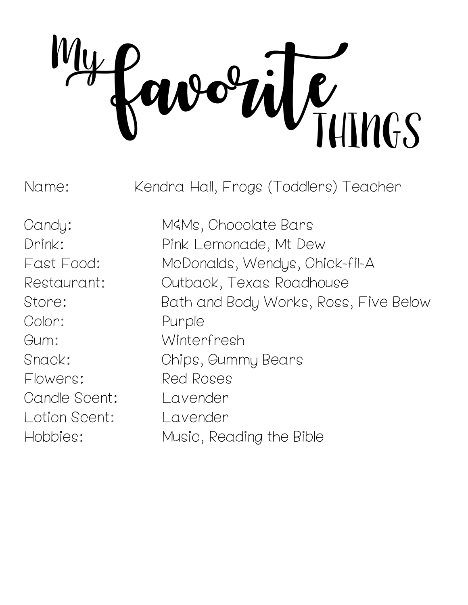FavoriteTHINGS **My** 

Name: Kendra Hall, Frogs (Toddlers) Teacher

Color: Purple Gum: Winterfresh Flowers: Red Roses Candle Scent: Lavender Lotion Scent: Lavender

Candy: M&Ms, Chocolate Bars Drink: Pink Lemonade, Mt Dew Fast Food: McDonalds, Wendys, Chick-fil-A Restaurant: Outback, Texas Roadhouse Store: Bath and Body Works, Ross, Five Below Snack: Chips, Gummy Bears Hobbies: Music, Reading the Bible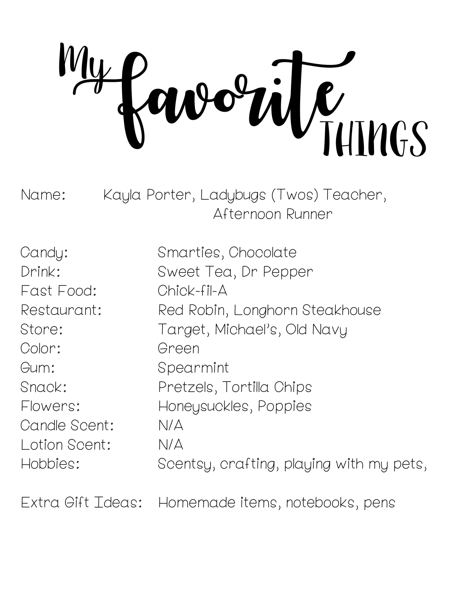orite of **My** 

Name: Kayla Porter, Ladybugs (Twos) Teacher, Afternoon Runner

| Candy:        | Smarties, Chocolate                      |
|---------------|------------------------------------------|
| Drink:        | Sweet Tea, Dr Pepper                     |
| Fast Food:    | Chick-fil-A                              |
| Restaurant:   | Red Robin, Longhorn Steakhouse           |
| Store:        | Target, Michael's, Old Navy              |
| Color:        | Green                                    |
| Gum:          | Spearmint                                |
| Snack:        | Pretzels, Tortilla Chips                 |
| Flowers:      | Honeysuckles, Poppies                    |
| Candle Scent: | N/A                                      |
| Lotion Scent: | N/A                                      |
| Hobbies:      | Scentsy, crafting, playing with my pets, |

Extra Gift Ideas: Homemade items, notebooks, pens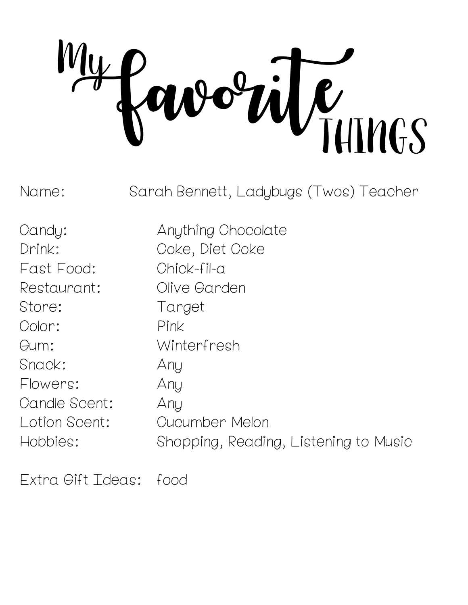L<br>TUTNGS **My** 

Name: Sarah Bennett, Ladybugs (Twos) Teacher

Fast Food: Chick-fil-a Restaurant: Olive Garden Store: Target Color: Pink Gum: Winterfresh Snack: Any Flowers: Any Candle Scent: Any

Candy: Anything Chocolate Drink: Coke, Diet Coke Lotion Scent: Cucumber Melon Hobbies: Shopping, Reading, Listening to Music

Extra Gift Ideas: food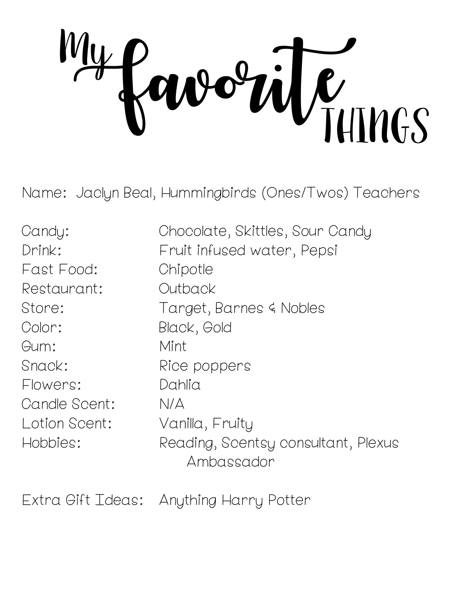orile temps **My** 

Name: Jaclyn Beal, Hummingbirds (Ones/Twos) Teachers

Candy: Chocolate, Skittles, Sour Candy Drink: Fruit infused water, Pepsi Fast Food: Chipotle Restaurant: Outback Store: Target, Barnes & Nobles Color: Black, Gold Gum: Mint Snack: Rice poppers Flowers: Dahlia Candle Scent: N/A Lotion Scent: Vanilla, Fruity Hobbies: Reading, Scentsy consultant, Plexus Ambassador

Extra Gift Ideas: Anything Harry Potter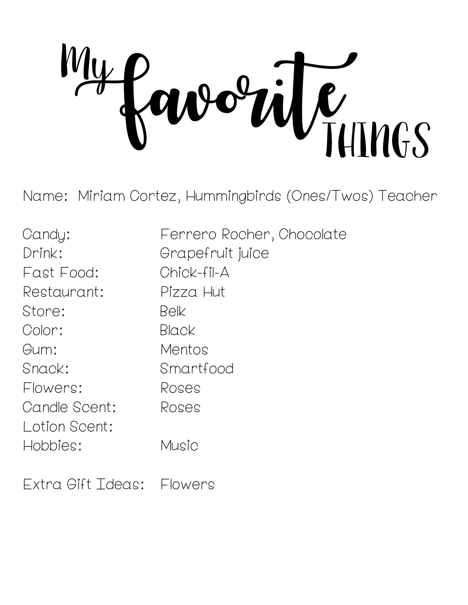avorite **My** 

Name: Miriam Cortez, Hummingbirds (Ones/Twos) Teacher

| Candy:        | Ferrero Rocher, Chocolate |
|---------------|---------------------------|
| Drink:        | Grapefruit juice          |
| Fast Food:    | Chick-fil-A               |
| Restaurant:   | Pizza Hut                 |
| Store:        | Belk                      |
| Color:        | Black                     |
| Gum:          | Mentos                    |
| Snack:        | Smartfood                 |
| Flowers:      | Roses                     |
| Candle Scent: | Roses                     |
| Lotion Scent: |                           |
| Hobbies:      | Music                     |
|               |                           |

Extra Gift Ideas: Flowers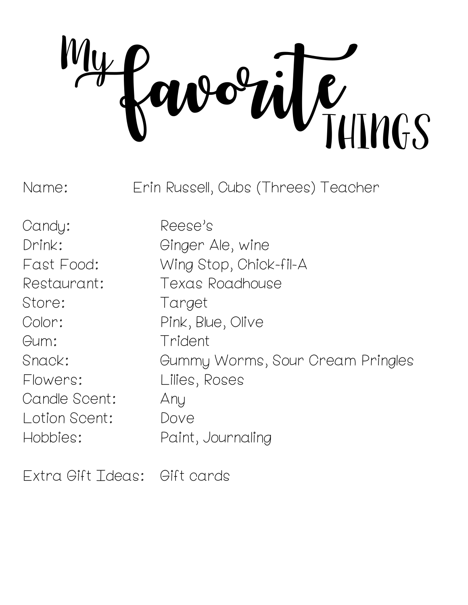FAUTHINGS  $\overline{\mathbf{t}}$ 

Name: Erin Russell, Cubs (Threes) Teacher

Candy: Reese's Store: Target Gum: Trident Flowers: Lilies, Roses Candle Scent: Any Lotion Scent: Dove

Drink: Ginger Ale, wine Fast Food: Wing Stop, Chick-fil-A Restaurant: Texas Roadhouse Color: Pink, Blue, Olive Snack: Gummy Worms, Sour Cream Pringles Hobbies: Paint, Journaling

Extra Gift Ideas: Gift cards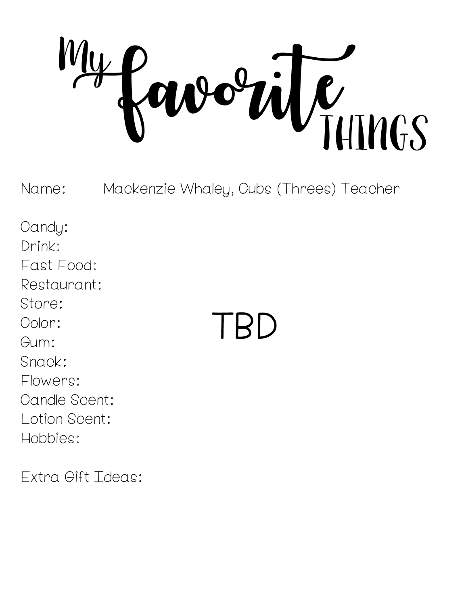orile THIMGS  $\overline{y}$ 

Name: Mackenzie Whaley, Cubs (Threes) Teacher

Candy: Drink: Fast Food: Restaurant: Store: Color: Gum: Snack: Flowers: Candle Scent: Lotion Scent: Hobbies:

 $\mathsf{BD}$ 

Extra Gift Ideas: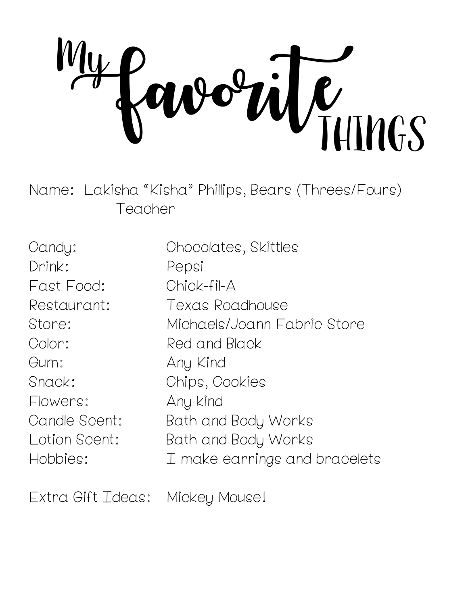avorite Mings **My** 

Name: Lakisha "Kisha" Phillips, Bears (Threes/Fours) Teacher

| Candy:        | Chocolates, Skittles          |
|---------------|-------------------------------|
| Drink:        | Pepsi                         |
| Fast Food:    | Chick-fil-A                   |
| Restaurant:   | Texas Roadhouse               |
| Store:        | Michaels/Joann Fabric Store   |
| Color:        | Red and Black                 |
| Gum:          | Any Kind                      |
| Snack:        | Chips, Cookies                |
| Flowers:      | Any kind                      |
| Candle Scent: | Bath and Body Works           |
| Lotion Scent: | Bath and Body Works           |
| Hobbies:      | I make earrings and bracelets |

Extra Gift Ideas: Mickey Mouse!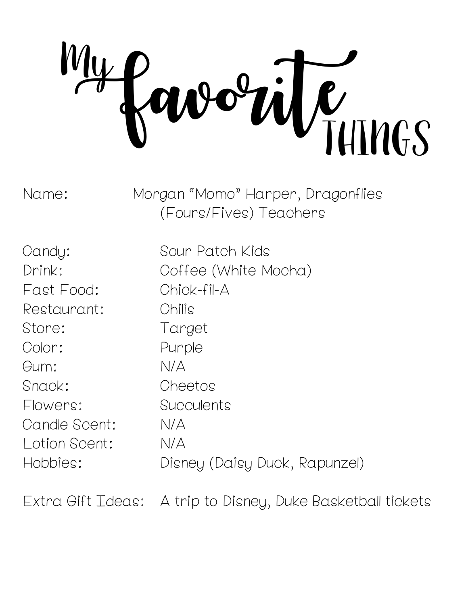$\ddot{w}_{\text{HIMGS}}$ **My** 

Name: Morgan "Momo" Harper, Dragonflies (Fours/Fives) Teachers

Fast Food: Chick-fil-A Restaurant: Chilis Store: Target Color: Purple Gum: N/A Snack: Cheetos Flowers: Succulents Candle Scent: N/A Lotion Scent: N/A

Candy: Sour Patch Kids Drink: Coffee (White Mocha) Hobbies: Disney (Daisy Duck, Rapunzel)

Extra Gift Ideas: A trip to Disney, Duke Basketball tickets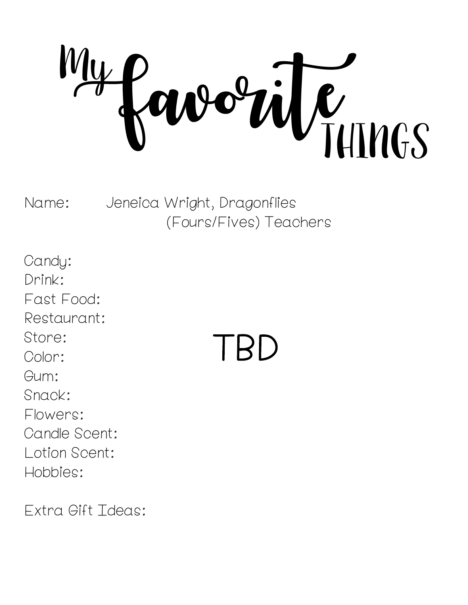orile THINGS **My** 

Name: Jeneica Wright, Dragonflies (Fours/Fives) Teachers

Candy: Drink: Fast Food: Restaurant: Store: Color: Gum: Snack: Flowers: Candle Scent: Lotion Scent: Hobbies:

TBD

Extra Gift Ideas: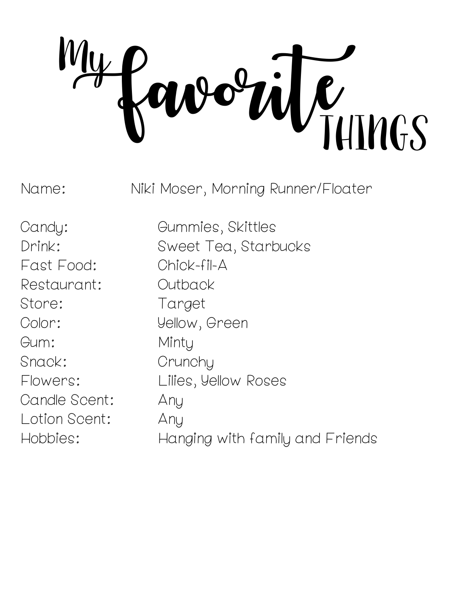L<br>TUTNGS My

Name: Niki Moser, Morning Runner/Floater

Fast Food: Chick-fil-A Restaurant: Outback Store: Target Color: Yellow, Green Gum: Minty Snack: Crunchy Candle Scent: Any Lotion Scent: Any

Candy: Gummies, Skittles Drink: Sweet Tea, Starbucks Flowers: Lilies, Yellow Roses Hobbies: Hanging with family and Friends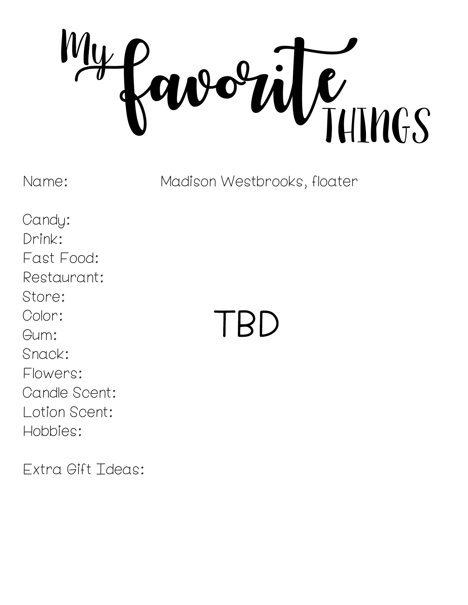orile THIMGS **My** 

Name: Madison Westbrooks, floater

Candy: Drink: Fast Food: Restaurant: Store: Color: Gum: Snack: Flowers: Candle Scent: Lotion Scent: Hobbies:

Extra Gift Ideas:

## TBD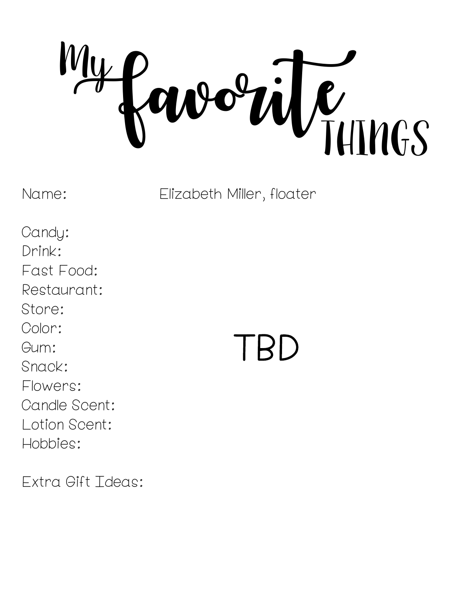FavoriteTHINGS **My** 

Name: Elizabeth Miller, floater

Candy: Drink: Fast Food: Restaurant: Store: Color: Gum: Snack: Flowers: Candle Scent: Lotion Scent: Hobbies:

Extra Gift Ideas:

## $H$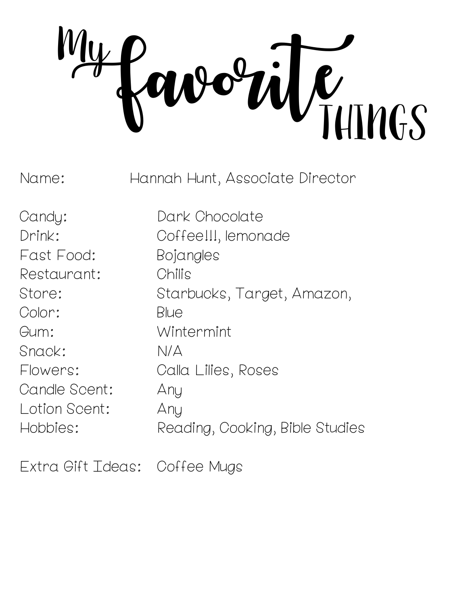Summers **My** 

Name: Hannah Hunt, Associate Director

Candy: Dark Chocolate Fast Food: Bojangles Restaurant: Chilis Color: Blue Gum: Wintermint Snack: N/A Candle Scent: Any Lotion Scent: Any

Drink: Coffee!!!, lemonade Store: Starbucks, Target, Amazon, Flowers: Calla Lilies, Roses Hobbies: Reading, Cooking, Bible Studies

Extra Gift Ideas: Coffee Mugs